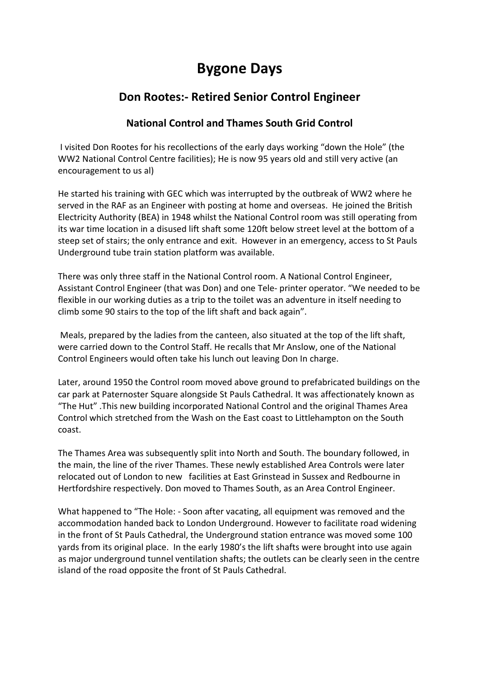## **Bygone Days**

## **Don Rootes:- Retired Senior Control Engineer**

## **National Control and Thames South Grid Control**

I visited Don Rootes for his recollections of the early days working "down the Hole" (the WW2 National Control Centre facilities); He is now 95 years old and still very active (an encouragement to us al)

He started his training with GEC which was interrupted by the outbreak of WW2 where he served in the RAF as an Engineer with posting at home and overseas. He joined the British Electricity Authority (BEA) in 1948 whilst the National Control room was still operating from its war time location in a disused lift shaft some 120ft below street level at the bottom of a steep set of stairs; the only entrance and exit. However in an emergency, access to St Pauls Underground tube train station platform was available.

There was only three staff in the National Control room. A National Control Engineer, Assistant Control Engineer (that was Don) and one Tele- printer operator. "We needed to be flexible in our working duties as a trip to the toilet was an adventure in itself needing to climb some 90 stairs to the top of the lift shaft and back again".

Meals, prepared by the ladies from the canteen, also situated at the top of the lift shaft, were carried down to the Control Staff. He recalls that Mr Anslow, one of the National Control Engineers would often take his lunch out leaving Don In charge.

Later, around 1950 the Control room moved above ground to prefabricated buildings on the car park at Paternoster Square alongside St Pauls Cathedral. It was affectionately known as "The Hut" .This new building incorporated National Control and the original Thames Area Control which stretched from the Wash on the East coast to Littlehampton on the South coast.

The Thames Area was subsequently split into North and South. The boundary followed, in the main, the line of the river Thames. These newly established Area Controls were later relocated out of London to new facilities at East Grinstead in Sussex and Redbourne in Hertfordshire respectively. Don moved to Thames South, as an Area Control Engineer.

What happened to "The Hole: - Soon after vacating, all equipment was removed and the accommodation handed back to London Underground. However to facilitate road widening in the front of St Pauls Cathedral, the Underground station entrance was moved some 100 yards from its original place. In the early 1980's the lift shafts were brought into use again as major underground tunnel ventilation shafts; the outlets can be clearly seen in the centre island of the road opposite the front of St Pauls Cathedral.